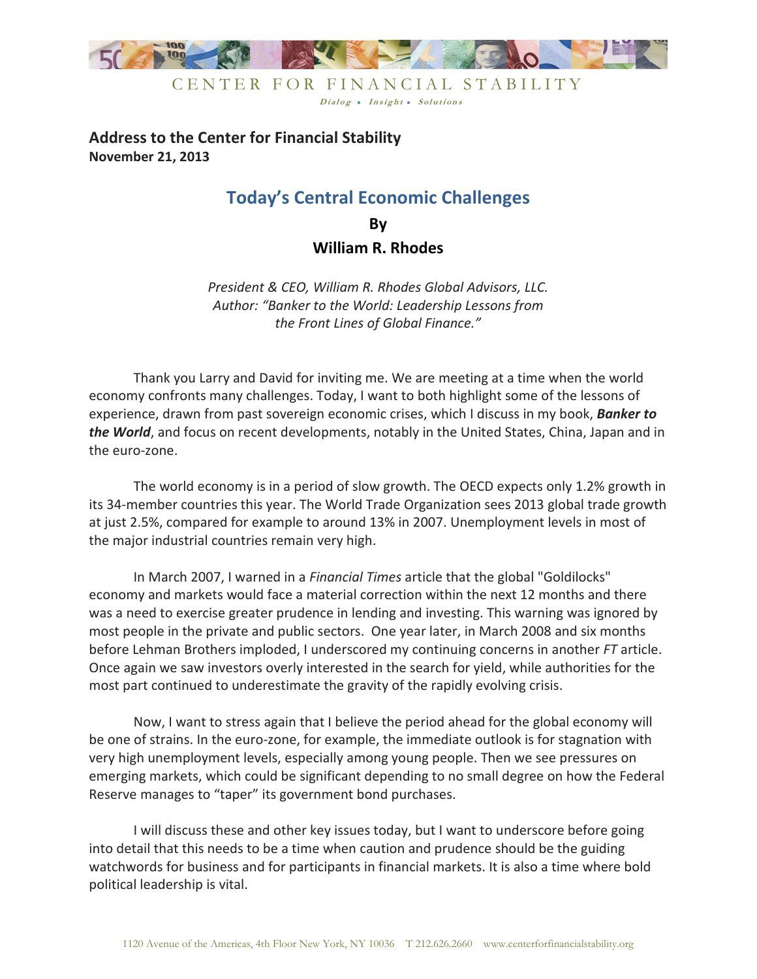

# **Address to the Center for Financial Stability November 21, 2013**

# **Today's Central Economic Challenges**

**By William R. Rhodes** 

*President & CEO, William R. Rhodes Global Advisors, LLC. Author: "Banker to the World: Leadership Lessons from the Front Lines of Global Finance."* 

 Thank you Larry and David for inviting me. We are meeting at a time when the world economy confronts many challenges. Today, I want to both highlight some of the lessons of experience, drawn from past sovereign economic crises, which I discuss in my book, *Banker to the World*, and focus on recent developments, notably in the United States, China, Japan and in the euro-zone.

 The world economy is in a period of slow growth. The OECD expects only 1.2% growth in its 34-member countries this year. The World Trade Organization sees 2013 global trade growth at just 2.5%, compared for example to around 13% in 2007. Unemployment levels in most of the major industrial countries remain very high.

In March 2007, I warned in a *Financial Times* article that the global "Goldilocks" economy and markets would face a material correction within the next 12 months and there was a need to exercise greater prudence in lending and investing. This warning was ignored by most people in the private and public sectors. One year later, in March 2008 and six months before Lehman Brothers imploded, I underscored my continuing concerns in another *FT* article. Once again we saw investors overly interested in the search for yield, while authorities for the most part continued to underestimate the gravity of the rapidly evolving crisis.

Now, I want to stress again that I believe the period ahead for the global economy will be one of strains. In the euro-zone, for example, the immediate outlook is for stagnation with very high unemployment levels, especially among young people. Then we see pressures on emerging markets, which could be significant depending to no small degree on how the Federal Reserve manages to "taper" its government bond purchases.

I will discuss these and other key issues today, but I want to underscore before going into detail that this needs to be a time when caution and prudence should be the guiding watchwords for business and for participants in financial markets. It is also a time where bold political leadership is vital.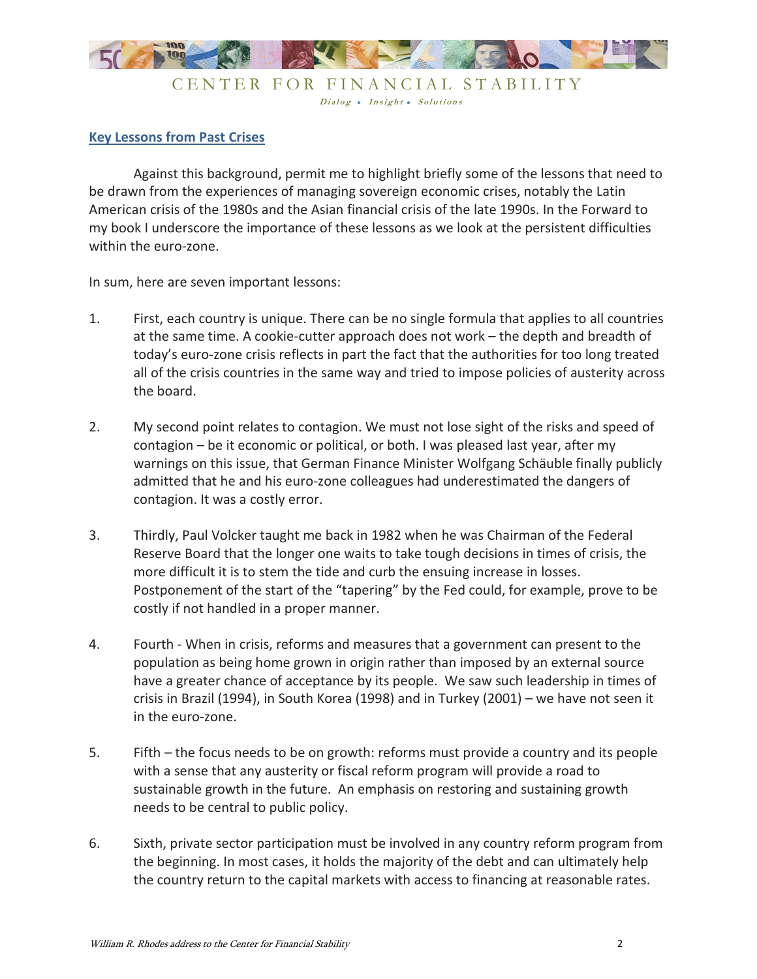

CENTER FOR FINANCIAL STABILITY Dialog . Insight . Solutions

#### **Key Lessons from Past Crises**

Against this background, permit me to highlight briefly some of the lessons that need to be drawn from the experiences of managing sovereign economic crises, notably the Latin American crisis of the 1980s and the Asian financial crisis of the late 1990s. In the Forward to my book I underscore the importance of these lessons as we look at the persistent difficulties within the euro-zone.

In sum, here are seven important lessons:

- 1. First, each country is unique. There can be no single formula that applies to all countries at the same time. A cookie-cutter approach does not work – the depth and breadth of today's euro-zone crisis reflects in part the fact that the authorities for too long treated all of the crisis countries in the same way and tried to impose policies of austerity across the board.
- 2. My second point relates to contagion. We must not lose sight of the risks and speed of contagion – be it economic or political, or both. I was pleased last year, after my warnings on this issue, that German Finance Minister Wolfgang Schäuble finally publicly admitted that he and his euro-zone colleagues had underestimated the dangers of contagion. It was a costly error.
- 3. Thirdly, Paul Volcker taught me back in 1982 when he was Chairman of the Federal Reserve Board that the longer one waits to take tough decisions in times of crisis, the more difficult it is to stem the tide and curb the ensuing increase in losses. Postponement of the start of the "tapering" by the Fed could, for example, prove to be costly if not handled in a proper manner.
- 4. Fourth When in crisis, reforms and measures that a government can present to the population as being home grown in origin rather than imposed by an external source have a greater chance of acceptance by its people. We saw such leadership in times of crisis in Brazil (1994), in South Korea (1998) and in Turkey (2001) – we have not seen it in the euro-zone.
- 5. Fifth the focus needs to be on growth: reforms must provide a country and its people with a sense that any austerity or fiscal reform program will provide a road to sustainable growth in the future. An emphasis on restoring and sustaining growth needs to be central to public policy.
- 6. Sixth, private sector participation must be involved in any country reform program from the beginning. In most cases, it holds the majority of the debt and can ultimately help the country return to the capital markets with access to financing at reasonable rates.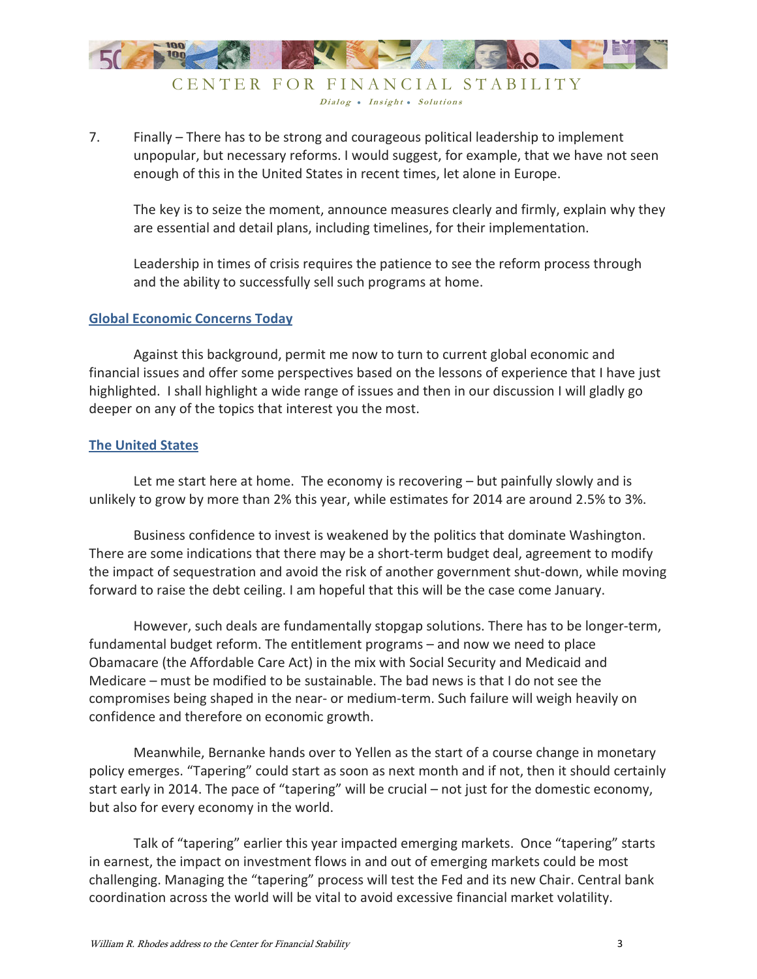

CENTER FOR FINANCIAL STABILITY Dialog • Insight • Solutions

7. Finally – There has to be strong and courageous political leadership to implement unpopular, but necessary reforms. I would suggest, for example, that we have not seen enough of this in the United States in recent times, let alone in Europe.

The key is to seize the moment, announce measures clearly and firmly, explain why they are essential and detail plans, including timelines, for their implementation.

Leadership in times of crisis requires the patience to see the reform process through and the ability to successfully sell such programs at home.

#### **Global Economic Concerns Today**

 Against this background, permit me now to turn to current global economic and financial issues and offer some perspectives based on the lessons of experience that I have just highlighted. I shall highlight a wide range of issues and then in our discussion I will gladly go deeper on any of the topics that interest you the most.

## **The United States**

Let me start here at home. The economy is recovering – but painfully slowly and is unlikely to grow by more than 2% this year, while estimates for 2014 are around 2.5% to 3%.

Business confidence to invest is weakened by the politics that dominate Washington. There are some indications that there may be a short-term budget deal, agreement to modify the impact of sequestration and avoid the risk of another government shut-down, while moving forward to raise the debt ceiling. I am hopeful that this will be the case come January.

However, such deals are fundamentally stopgap solutions. There has to be longer-term, fundamental budget reform. The entitlement programs – and now we need to place Obamacare (the Affordable Care Act) in the mix with Social Security and Medicaid and Medicare – must be modified to be sustainable. The bad news is that I do not see the compromises being shaped in the near- or medium-term. Such failure will weigh heavily on confidence and therefore on economic growth.

Meanwhile, Bernanke hands over to Yellen as the start of a course change in monetary policy emerges. "Tapering" could start as soon as next month and if not, then it should certainly start early in 2014. The pace of "tapering" will be crucial – not just for the domestic economy, but also for every economy in the world.

Talk of "tapering" earlier this year impacted emerging markets. Once "tapering" starts in earnest, the impact on investment flows in and out of emerging markets could be most challenging. Managing the "tapering" process will test the Fed and its new Chair. Central bank coordination across the world will be vital to avoid excessive financial market volatility.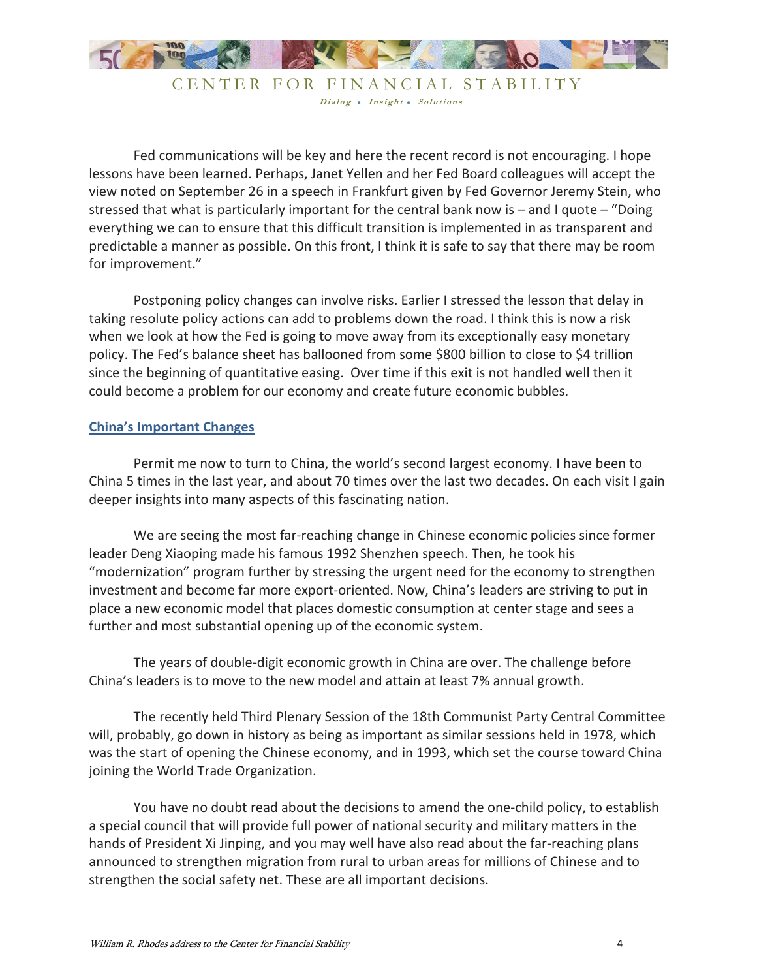

CENTER FOR FINANCIAL STABILITY Dialog . Insight . Solutions

Fed communications will be key and here the recent record is not encouraging. I hope lessons have been learned. Perhaps, Janet Yellen and her Fed Board colleagues will accept the view noted on September 26 in a speech in Frankfurt given by Fed Governor Jeremy Stein, who stressed that what is particularly important for the central bank now is – and I quote – "Doing everything we can to ensure that this difficult transition is implemented in as transparent and predictable a manner as possible. On this front, I think it is safe to say that there may be room for improvement."

Postponing policy changes can involve risks. Earlier I stressed the lesson that delay in taking resolute policy actions can add to problems down the road. I think this is now a risk when we look at how the Fed is going to move away from its exceptionally easy monetary policy. The Fed's balance sheet has ballooned from some \$800 billion to close to \$4 trillion since the beginning of quantitative easing. Over time if this exit is not handled well then it could become a problem for our economy and create future economic bubbles.

#### **China's Important Changes**

 Permit me now to turn to China, the world's second largest economy. I have been to China 5 times in the last year, and about 70 times over the last two decades. On each visit I gain deeper insights into many aspects of this fascinating nation.

 We are seeing the most far-reaching change in Chinese economic policies since former leader Deng Xiaoping made his famous 1992 Shenzhen speech. Then, he took his "modernization" program further by stressing the urgent need for the economy to strengthen investment and become far more export-oriented. Now, China's leaders are striving to put in place a new economic model that places domestic consumption at center stage and sees a further and most substantial opening up of the economic system.

 The years of double-digit economic growth in China are over. The challenge before China's leaders is to move to the new model and attain at least 7% annual growth.

 The recently held Third Plenary Session of the 18th Communist Party Central Committee will, probably, go down in history as being as important as similar sessions held in 1978, which was the start of opening the Chinese economy, and in 1993, which set the course toward China joining the World Trade Organization.

You have no doubt read about the decisions to amend the one-child policy, to establish a special council that will provide full power of national security and military matters in the hands of President Xi Jinping, and you may well have also read about the far-reaching plans announced to strengthen migration from rural to urban areas for millions of Chinese and to strengthen the social safety net. These are all important decisions.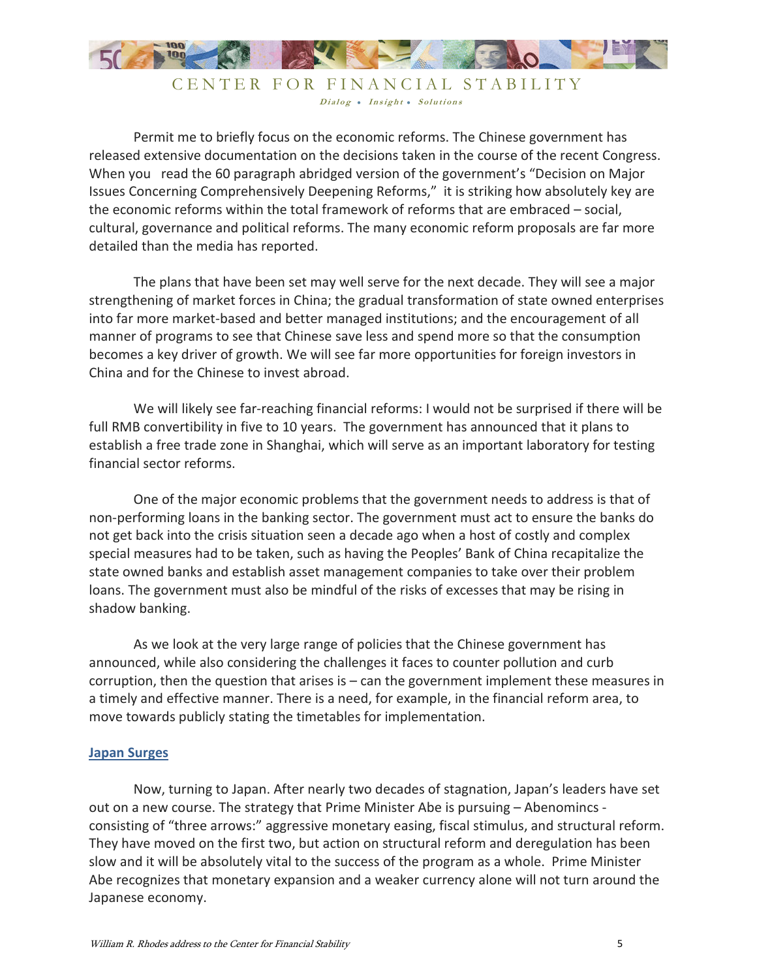

CENTER FOR FINANCIAL STABILITY Dialog • Insight • Solutions

 Permit me to briefly focus on the economic reforms. The Chinese government has released extensive documentation on the decisions taken in the course of the recent Congress. When you read the 60 paragraph abridged version of the government's "Decision on Major Issues Concerning Comprehensively Deepening Reforms," it is striking how absolutely key are the economic reforms within the total framework of reforms that are embraced – social, cultural, governance and political reforms. The many economic reform proposals are far more detailed than the media has reported.

 The plans that have been set may well serve for the next decade. They will see a major strengthening of market forces in China; the gradual transformation of state owned enterprises into far more market-based and better managed institutions; and the encouragement of all manner of programs to see that Chinese save less and spend more so that the consumption becomes a key driver of growth. We will see far more opportunities for foreign investors in China and for the Chinese to invest abroad.

We will likely see far-reaching financial reforms: I would not be surprised if there will be full RMB convertibility in five to 10 years. The government has announced that it plans to establish a free trade zone in Shanghai, which will serve as an important laboratory for testing financial sector reforms.

One of the major economic problems that the government needs to address is that of non-performing loans in the banking sector. The government must act to ensure the banks do not get back into the crisis situation seen a decade ago when a host of costly and complex special measures had to be taken, such as having the Peoples' Bank of China recapitalize the state owned banks and establish asset management companies to take over their problem loans. The government must also be mindful of the risks of excesses that may be rising in shadow banking.

As we look at the very large range of policies that the Chinese government has announced, while also considering the challenges it faces to counter pollution and curb corruption, then the question that arises is – can the government implement these measures in a timely and effective manner. There is a need, for example, in the financial reform area, to move towards publicly stating the timetables for implementation.

#### **Japan Surges**

Now, turning to Japan. After nearly two decades of stagnation, Japan's leaders have set out on a new course. The strategy that Prime Minister Abe is pursuing – Abenomincs consisting of "three arrows:" aggressive monetary easing, fiscal stimulus, and structural reform. They have moved on the first two, but action on structural reform and deregulation has been slow and it will be absolutely vital to the success of the program as a whole. Prime Minister Abe recognizes that monetary expansion and a weaker currency alone will not turn around the Japanese economy.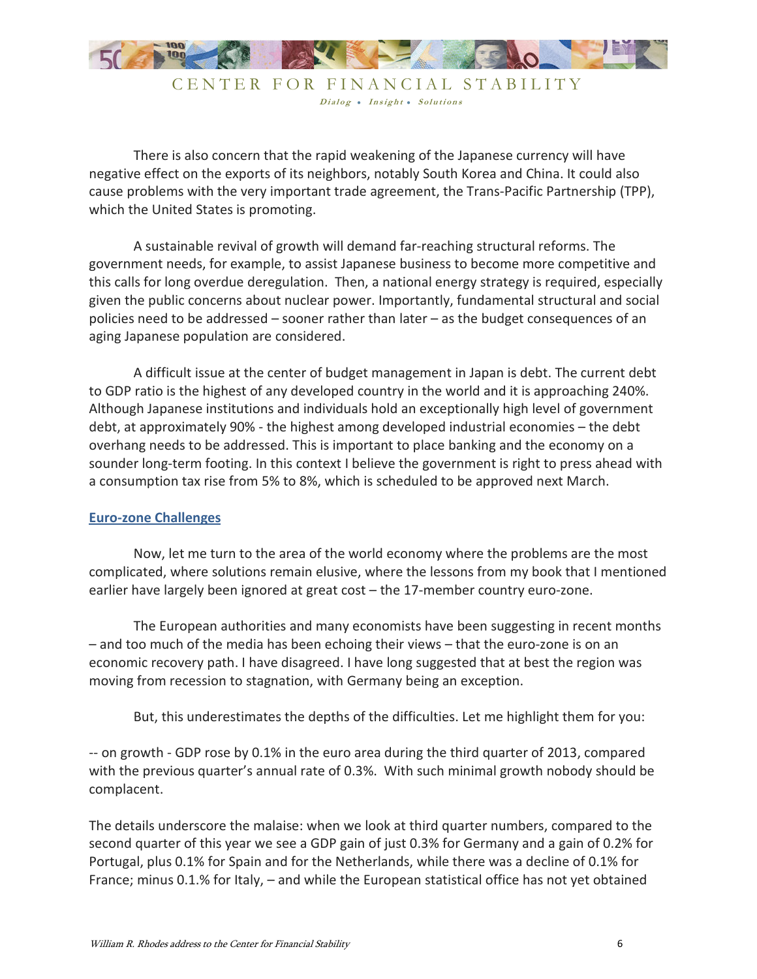

There is also concern that the rapid weakening of the Japanese currency will have negative effect on the exports of its neighbors, notably South Korea and China. It could also cause problems with the very important trade agreement, the Trans-Pacific Partnership (TPP), which the United States is promoting.

A sustainable revival of growth will demand far-reaching structural reforms. The government needs, for example, to assist Japanese business to become more competitive and this calls for long overdue deregulation. Then, a national energy strategy is required, especially given the public concerns about nuclear power. Importantly, fundamental structural and social policies need to be addressed – sooner rather than later – as the budget consequences of an aging Japanese population are considered.

A difficult issue at the center of budget management in Japan is debt. The current debt to GDP ratio is the highest of any developed country in the world and it is approaching 240%. Although Japanese institutions and individuals hold an exceptionally high level of government debt, at approximately 90% - the highest among developed industrial economies – the debt overhang needs to be addressed. This is important to place banking and the economy on a sounder long-term footing. In this context I believe the government is right to press ahead with a consumption tax rise from 5% to 8%, which is scheduled to be approved next March.

#### **Euro-zone Challenges**

Now, let me turn to the area of the world economy where the problems are the most complicated, where solutions remain elusive, where the lessons from my book that I mentioned earlier have largely been ignored at great cost – the 17-member country euro-zone.

The European authorities and many economists have been suggesting in recent months – and too much of the media has been echoing their views – that the euro-zone is on an economic recovery path. I have disagreed. I have long suggested that at best the region was moving from recession to stagnation, with Germany being an exception.

But, this underestimates the depths of the difficulties. Let me highlight them for you:

-- on growth - GDP rose by 0.1% in the euro area during the third quarter of 2013, compared with the previous quarter's annual rate of 0.3%. With such minimal growth nobody should be complacent.

The details underscore the malaise: when we look at third quarter numbers, compared to the second quarter of this year we see a GDP gain of just 0.3% for Germany and a gain of 0.2% for Portugal, plus 0.1% for Spain and for the Netherlands, while there was a decline of 0.1% for France; minus 0.1.% for Italy, – and while the European statistical office has not yet obtained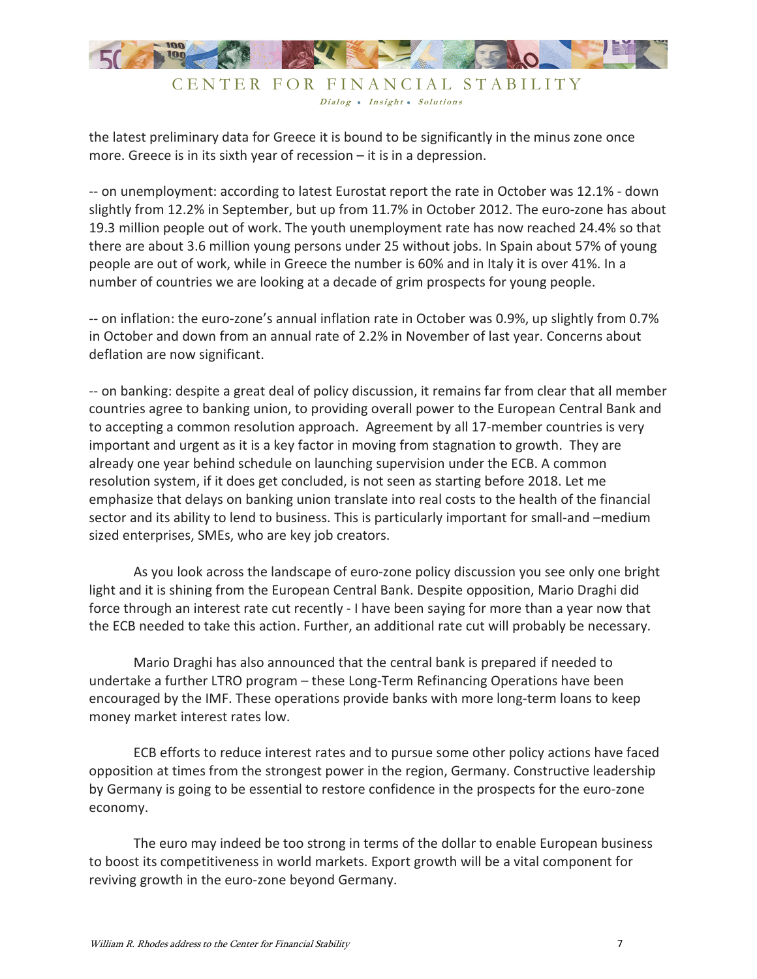

the latest preliminary data for Greece it is bound to be significantly in the minus zone once more. Greece is in its sixth year of recession – it is in a depression.

-- on unemployment: according to latest Eurostat report the rate in October was 12.1% - down slightly from 12.2% in September, but up from 11.7% in October 2012. The euro-zone has about 19.3 million people out of work. The youth unemployment rate has now reached 24.4% so that there are about 3.6 million young persons under 25 without jobs. In Spain about 57% of young people are out of work, while in Greece the number is 60% and in Italy it is over 41%. In a number of countries we are looking at a decade of grim prospects for young people.

-- on inflation: the euro-zone's annual inflation rate in October was 0.9%, up slightly from 0.7% in October and down from an annual rate of 2.2% in November of last year. Concerns about deflation are now significant.

-- on banking: despite a great deal of policy discussion, it remains far from clear that all member countries agree to banking union, to providing overall power to the European Central Bank and to accepting a common resolution approach. Agreement by all 17-member countries is very important and urgent as it is a key factor in moving from stagnation to growth. They are already one year behind schedule on launching supervision under the ECB. A common resolution system, if it does get concluded, is not seen as starting before 2018. Let me emphasize that delays on banking union translate into real costs to the health of the financial sector and its ability to lend to business. This is particularly important for small-and –medium sized enterprises, SMEs, who are key job creators.

As you look across the landscape of euro-zone policy discussion you see only one bright light and it is shining from the European Central Bank. Despite opposition, Mario Draghi did force through an interest rate cut recently - I have been saying for more than a year now that the ECB needed to take this action. Further, an additional rate cut will probably be necessary.

Mario Draghi has also announced that the central bank is prepared if needed to undertake a further LTRO program – these Long-Term Refinancing Operations have been encouraged by the IMF. These operations provide banks with more long-term loans to keep money market interest rates low.

ECB efforts to reduce interest rates and to pursue some other policy actions have faced opposition at times from the strongest power in the region, Germany. Constructive leadership by Germany is going to be essential to restore confidence in the prospects for the euro-zone economy.

The euro may indeed be too strong in terms of the dollar to enable European business to boost its competitiveness in world markets. Export growth will be a vital component for reviving growth in the euro-zone beyond Germany.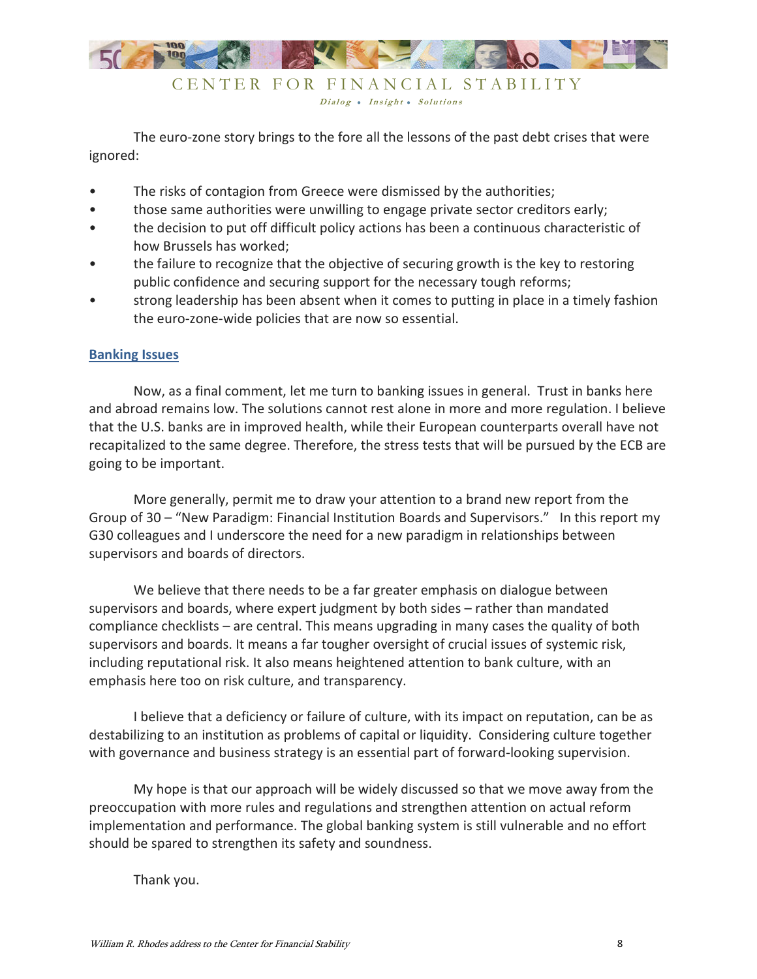

The euro-zone story brings to the fore all the lessons of the past debt crises that were ignored:

- The risks of contagion from Greece were dismissed by the authorities;
- those same authorities were unwilling to engage private sector creditors early;
- the decision to put off difficult policy actions has been a continuous characteristic of how Brussels has worked;
- the failure to recognize that the objective of securing growth is the key to restoring public confidence and securing support for the necessary tough reforms;
- strong leadership has been absent when it comes to putting in place in a timely fashion the euro-zone-wide policies that are now so essential.

#### **Banking Issues**

Now, as a final comment, let me turn to banking issues in general. Trust in banks here and abroad remains low. The solutions cannot rest alone in more and more regulation. I believe that the U.S. banks are in improved health, while their European counterparts overall have not recapitalized to the same degree. Therefore, the stress tests that will be pursued by the ECB are going to be important.

More generally, permit me to draw your attention to a brand new report from the Group of 30 – "New Paradigm: Financial Institution Boards and Supervisors." In this report my G30 colleagues and I underscore the need for a new paradigm in relationships between supervisors and boards of directors.

We believe that there needs to be a far greater emphasis on dialogue between supervisors and boards, where expert judgment by both sides – rather than mandated compliance checklists – are central. This means upgrading in many cases the quality of both supervisors and boards. It means a far tougher oversight of crucial issues of systemic risk, including reputational risk. It also means heightened attention to bank culture, with an emphasis here too on risk culture, and transparency.

I believe that a deficiency or failure of culture, with its impact on reputation, can be as destabilizing to an institution as problems of capital or liquidity. Considering culture together with governance and business strategy is an essential part of forward-looking supervision.

My hope is that our approach will be widely discussed so that we move away from the preoccupation with more rules and regulations and strengthen attention on actual reform implementation and performance. The global banking system is still vulnerable and no effort should be spared to strengthen its safety and soundness.

Thank you.